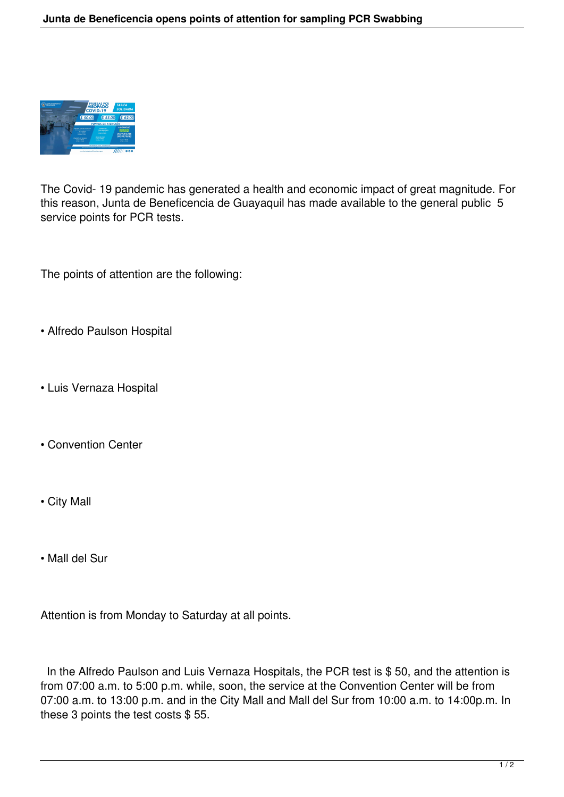

The Covid- 19 pandemic has generated a health and economic impact of great magnitude. For this reason, Junta de Beneficencia de Guayaquil has made available to the general public 5 service points for PCR tests.

The points of attention are the following:

- Alfredo Paulson Hospital
- Luis Vernaza Hospital
- Convention Center
- City Mall
- Mall del Sur

Attention is from Monday to Saturday at all points.

In the Alfredo Paulson and Luis Vernaza Hospitals, the PCR test is \$50, and the attention is from 07:00 a.m. to 5:00 p.m. while, soon, the service at the Convention Center will be from 07:00 a.m. to 13:00 p.m. and in the City Mall and Mall del Sur from 10:00 a.m. to 14:00p.m. In these 3 points the test costs \$ 55.